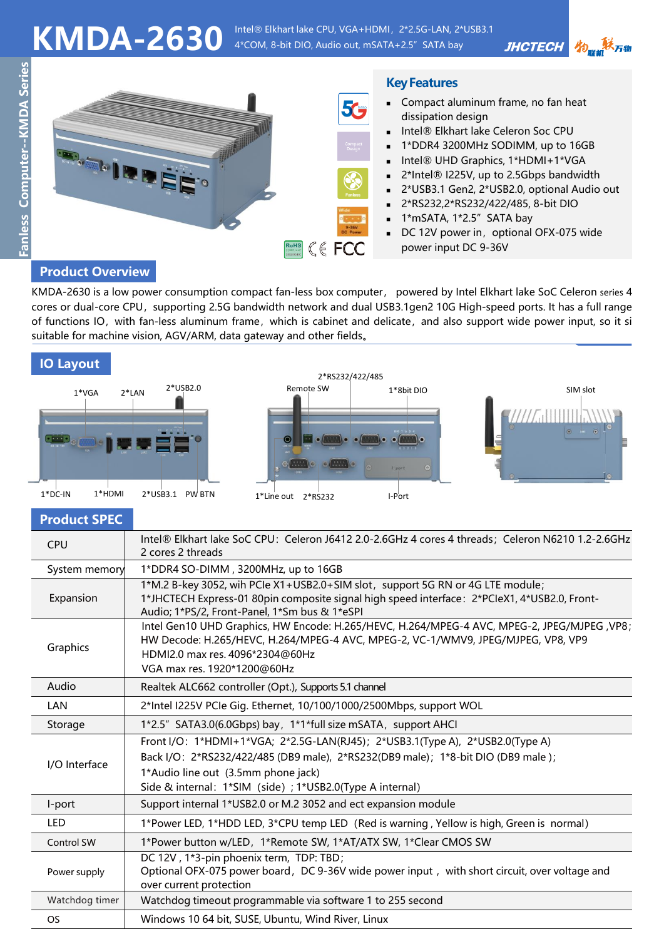KMDA-2630 Intel® Elkhart lake CPU, VGA+HDMI, 2\*2.5G-LAN, 2\*USB3.1 4\*COM, 8-bit DIO, Audio out, mSATA+2.5" SATA bay

Fanless Computer--KMDA Series **Fanless Computer--KMDA Series**



## **Product Overview**

KMDA-2630 is a low power consumption compact fan-less box computer, powered by Intel Elkhart lake SoC Celeron series 4 cores or dual-core CPU, supporting 2.5G bandwidth network and dual USB3.1gen2 10G High-speed ports. It has a full range of functions IO, with fan-less aluminum frame, which is cabinet and delicate, and also support wide power input, so it si suitable for machine vision, AGV/ARM, data gateway and other fields。

| <b>IO Layout</b> |
|------------------|
|                  |







物品联万物

**JHCTECH** 

**Product SPEC**

| <b>CPU</b>     | Intel® Elkhart lake SoC CPU: Celeron J6412 2.0-2.6GHz 4 cores 4 threads; Celeron N6210 1.2-2.6GHz<br>2 cores 2 threads                                                                                                                                                |  |  |
|----------------|-----------------------------------------------------------------------------------------------------------------------------------------------------------------------------------------------------------------------------------------------------------------------|--|--|
| System memory  | 1*DDR4 SO-DIMM, 3200MHz, up to 16GB                                                                                                                                                                                                                                   |  |  |
| Expansion      | 1*M.2 B-key 3052, wih PCIe X1+USB2.0+SIM slot, support 5G RN or 4G LTE module;<br>1*JHCTECH Express-01 80pin composite signal high speed interface: 2*PCIeX1, 4*USB2.0, Front-<br>Audio; 1*PS/2, Front-Panel, 1*Sm bus & 1*eSPI                                       |  |  |
| Graphics       | Intel Gen10 UHD Graphics, HW Encode: H.265/HEVC, H.264/MPEG-4 AVC, MPEG-2, JPEG/MJPEG , VP8;<br>HW Decode: H.265/HEVC, H.264/MPEG-4 AVC, MPEG-2, VC-1/WMV9, JPEG/MJPEG, VP8, VP9<br>HDMI2.0 max res. 4096*2304@60Hz<br>VGA max res. 1920*1200@60Hz                    |  |  |
| Audio          | Realtek ALC662 controller (Opt.), Supports 5.1 channel                                                                                                                                                                                                                |  |  |
| <b>LAN</b>     | 2*Intel I225V PCIe Gig. Ethernet, 10/100/1000/2500Mbps, support WOL                                                                                                                                                                                                   |  |  |
| Storage        | 1*2.5" SATA3.0(6.0Gbps) bay, 1*1*full size mSATA, support AHCI                                                                                                                                                                                                        |  |  |
| I/O Interface  | Front I/O: 1*HDMI+1*VGA; 2*2.5G-LAN(RJ45); 2*USB3.1(Type A), 2*USB2.0(Type A)<br>Back I/O: 2*RS232/422/485 (DB9 male), 2*RS232(DB9 male); 1*8-bit DIO (DB9 male);<br>1*Audio line out (3.5mm phone jack)<br>Side & internal: 1*SIM (side) ; 1*USB2.0(Type A internal) |  |  |
| I-port         | Support internal 1*USB2.0 or M.2 3052 and ect expansion module                                                                                                                                                                                                        |  |  |
| LED            | 1*Power LED, 1*HDD LED, 3*CPU temp LED (Red is warning, Yellow is high, Green is normal)                                                                                                                                                                              |  |  |
| Control SW     | 1*Power button w/LED, 1*Remote SW, 1*AT/ATX SW, 1*Clear CMOS SW                                                                                                                                                                                                       |  |  |
| Power supply   | DC 12V, 1*3-pin phoenix term, TDP: TBD;<br>Optional OFX-075 power board, DC 9-36V wide power input, with short circuit, over voltage and<br>over current protection                                                                                                   |  |  |
| Watchdog timer | Watchdog timeout programmable via software 1 to 255 second                                                                                                                                                                                                            |  |  |
| <b>OS</b>      | Windows 10 64 bit, SUSE, Ubuntu, Wind River, Linux                                                                                                                                                                                                                    |  |  |